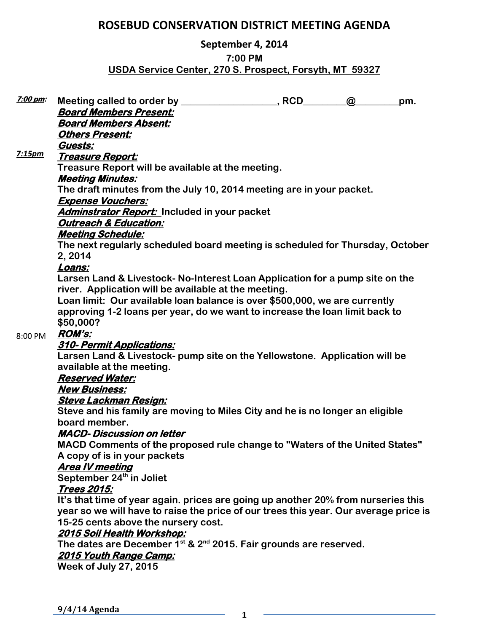# **ROSEBUD CONSERVATION DISTRICT MEETING AGENDA**

### **September 4, 2014**

### **7:00 PM**

## **USDA Service Center, 270 S. Prospect, Forsyth, MT 59327**

| <u>7:00 pm:</u> |                                                                                                                                                                                                                                                                                                                                                                                                         |  | $\omega$ | pm. |
|-----------------|---------------------------------------------------------------------------------------------------------------------------------------------------------------------------------------------------------------------------------------------------------------------------------------------------------------------------------------------------------------------------------------------------------|--|----------|-----|
|                 | <b>Board Members Present:</b>                                                                                                                                                                                                                                                                                                                                                                           |  |          |     |
|                 | <b>Board Members Absent:</b>                                                                                                                                                                                                                                                                                                                                                                            |  |          |     |
|                 | <b>Others Present:</b>                                                                                                                                                                                                                                                                                                                                                                                  |  |          |     |
|                 | Guests:                                                                                                                                                                                                                                                                                                                                                                                                 |  |          |     |
| 7:15pm          | <u> Treasure Report:</u>                                                                                                                                                                                                                                                                                                                                                                                |  |          |     |
|                 | Treasure Report will be available at the meeting.                                                                                                                                                                                                                                                                                                                                                       |  |          |     |
|                 | <b>Meeting Minutes:</b>                                                                                                                                                                                                                                                                                                                                                                                 |  |          |     |
|                 | The draft minutes from the July 10, 2014 meeting are in your packet.                                                                                                                                                                                                                                                                                                                                    |  |          |     |
|                 | <b>Expense Vouchers:</b>                                                                                                                                                                                                                                                                                                                                                                                |  |          |     |
|                 | Adminstrator Report: Included in your packet                                                                                                                                                                                                                                                                                                                                                            |  |          |     |
|                 | <b>Outreach &amp; Education:</b>                                                                                                                                                                                                                                                                                                                                                                        |  |          |     |
|                 | <b>Meeting Schedule:</b>                                                                                                                                                                                                                                                                                                                                                                                |  |          |     |
|                 | The next regularly scheduled board meeting is scheduled for Thursday, October<br>2, 2014<br>Loans:<br>Larsen Land & Livestock- No-Interest Loan Application for a pump site on the<br>river. Application will be available at the meeting.<br>Loan limit: Our available loan balance is over \$500,000, we are currently<br>approving 1-2 loans per year, do we want to increase the loan limit back to |  |          |     |
|                 |                                                                                                                                                                                                                                                                                                                                                                                                         |  |          |     |
|                 |                                                                                                                                                                                                                                                                                                                                                                                                         |  |          |     |
|                 |                                                                                                                                                                                                                                                                                                                                                                                                         |  |          |     |
|                 |                                                                                                                                                                                                                                                                                                                                                                                                         |  |          |     |
|                 |                                                                                                                                                                                                                                                                                                                                                                                                         |  |          |     |
|                 |                                                                                                                                                                                                                                                                                                                                                                                                         |  |          |     |
|                 | \$50,000?                                                                                                                                                                                                                                                                                                                                                                                               |  |          |     |
| 8:00 PM         | <b>ROM's:</b>                                                                                                                                                                                                                                                                                                                                                                                           |  |          |     |
|                 | <u>310- Permit Applications:</u><br>Larsen Land & Livestock- pump site on the Yellowstone. Application will be                                                                                                                                                                                                                                                                                          |  |          |     |
|                 |                                                                                                                                                                                                                                                                                                                                                                                                         |  |          |     |
|                 | available at the meeting.                                                                                                                                                                                                                                                                                                                                                                               |  |          |     |
|                 | <b>Reserved Water:</b>                                                                                                                                                                                                                                                                                                                                                                                  |  |          |     |
|                 | <b>New Business:</b>                                                                                                                                                                                                                                                                                                                                                                                    |  |          |     |
|                 | <b>Steve Lackman Resign:</b>                                                                                                                                                                                                                                                                                                                                                                            |  |          |     |
|                 | Steve and his family are moving to Miles City and he is no longer an eligible<br>board member.<br><b>MACD-Discussion on letter</b><br>MACD Comments of the proposed rule change to "Waters of the United States"<br>A copy of is in your packets                                                                                                                                                        |  |          |     |
|                 |                                                                                                                                                                                                                                                                                                                                                                                                         |  |          |     |
|                 |                                                                                                                                                                                                                                                                                                                                                                                                         |  |          |     |
|                 |                                                                                                                                                                                                                                                                                                                                                                                                         |  |          |     |
|                 |                                                                                                                                                                                                                                                                                                                                                                                                         |  |          |     |
|                 | <b>Area IV meeting</b>                                                                                                                                                                                                                                                                                                                                                                                  |  |          |     |
|                 | September 24 <sup>th</sup> in Joliet                                                                                                                                                                                                                                                                                                                                                                    |  |          |     |
|                 | <b>Trees 2015:</b>                                                                                                                                                                                                                                                                                                                                                                                      |  |          |     |
|                 | It's that time of year again. prices are going up another 20% from nurseries this<br>year so we will have to raise the price of our trees this year. Our average price is                                                                                                                                                                                                                               |  |          |     |
|                 |                                                                                                                                                                                                                                                                                                                                                                                                         |  |          |     |
|                 | 15-25 cents above the nursery cost.                                                                                                                                                                                                                                                                                                                                                                     |  |          |     |
|                 | <u> 2015 Soil Health Workshop:</u>                                                                                                                                                                                                                                                                                                                                                                      |  |          |     |
|                 | The dates are December $1^{st}$ & $2^{nd}$ 2015. Fair grounds are reserved.                                                                                                                                                                                                                                                                                                                             |  |          |     |
|                 | <b>2015 Youth Range Camp:</b>                                                                                                                                                                                                                                                                                                                                                                           |  |          |     |
|                 | <b>Week of July 27, 2015</b>                                                                                                                                                                                                                                                                                                                                                                            |  |          |     |